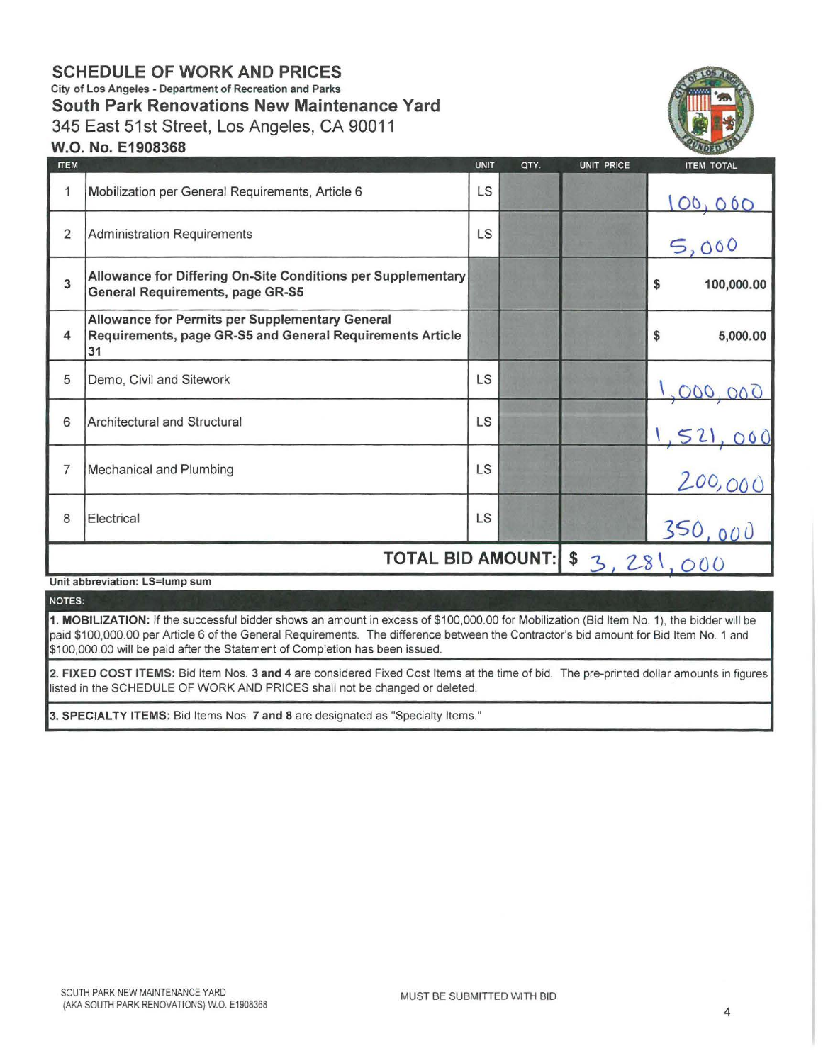# **SCHEDULE OF WORK AND PRICES**  City of Los Angeles - Department of Recreation and Parks **South Park Renovations New Maintenance Yard**  345 East 51st Street, Los Angeles, CA 90011



## **W.O. No. E1908368**

| <b>ITEM</b>    |                                                                                                                    | <b>UNIT</b> | QTY.        | <b>UNIT PRICE</b> | <b>ITEM TOTAL</b>       |
|----------------|--------------------------------------------------------------------------------------------------------------------|-------------|-------------|-------------------|-------------------------|
| 1              | Mobilization per General Requirements, Article 6                                                                   | LS          |             |                   |                         |
| $\overline{2}$ | <b>Administration Requirements</b>                                                                                 | LS          |             |                   | 5,000                   |
| 3              | Allowance for Differing On-Site Conditions per Supplementary<br><b>General Requirements, page GR-S5</b>            |             |             |                   | \$<br>100,000.00        |
| 4              | Allowance for Permits per Supplementary General<br>Requirements, page GR-S5 and General Requirements Article<br>31 |             |             |                   | \$<br>5,000.00          |
| 5              | Demo, Civil and Sitework                                                                                           | LS          |             |                   |                         |
| 6              | Architectural and Structural                                                                                       | LS          |             |                   | $\frac{1}{2}$           |
| $\overline{7}$ | Mechanical and Plumbing                                                                                            | LS          |             |                   | $\mathbf{r}$<br>200,000 |
| 8              | Electrical                                                                                                         | LS          |             |                   | 350,000                 |
|                | <b>TOTAL BID AMOUNT:</b>                                                                                           |             | \$3,281,000 |                   |                         |

Unit abbreviation: LS=lump sum

NOTES:

1. MOBILIZATION: If the successful bidder shows an amount in excess of \$100,000.00 for Mobilization (Bid Item No. 1), the bidder will be paid \$100,000.00 per Article 6 of the General Requirements. The difference between the Contractor's bid amount for Bid Item No. 1 and \$100,000.00 will be paid after the Statement of Completion has been issued.

2. FIXED COST ITEMS: Bid Item Nos. 3 and 4 are considered Fixed Cost Items at the time of bid. The pre-printed dollar amounts in figures listed in the SCHEDULE OF WORK AND PRICES shall not be changed or deleted.

3. SPECIALTY ITEMS: Bid Items Nos. 7 and 8 are designated as "Specialty Items."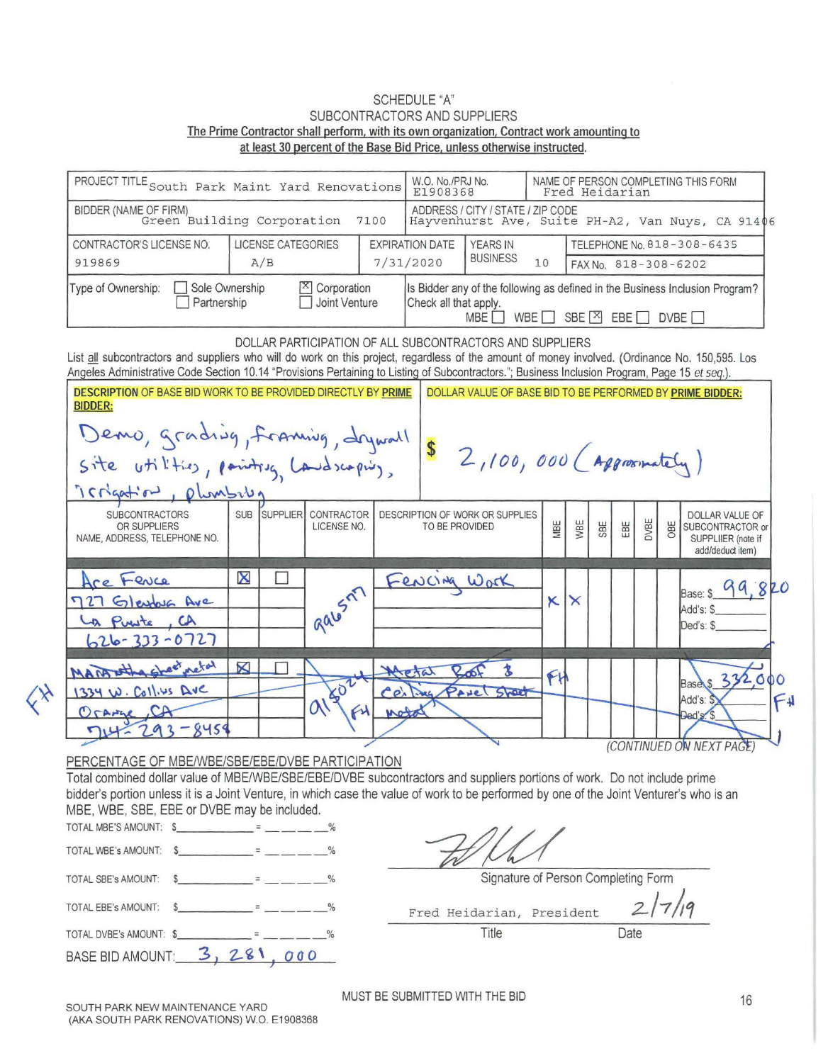#### SCHEDULE "A" SUBCONTRACTORS AND SUPPLIERS The Prime Contractor shall perform, with its own organization, Contract work amounting to at least 30 percent of the Base Bid Price, unless otherwise instructed.

| PROJECT TITLE South Park Maint Yard Renovations |                                           |                    |                                                                                                                                                           | W.O. No./PRJ No.<br>E1908368 |                                                                                       | NAME OF PERSON COMPLETING THIS FORM<br>Fred Heidarian |                            |                      |  |  |  |
|-------------------------------------------------|-------------------------------------------|--------------------|-----------------------------------------------------------------------------------------------------------------------------------------------------------|------------------------------|---------------------------------------------------------------------------------------|-------------------------------------------------------|----------------------------|----------------------|--|--|--|
| BIDDER (NAME OF FIRM)                           | Green Building Corporation                |                    |                                                                                                                                                           | 7100                         | ADDRESS / CITY / STATE / ZIP CODE<br>Hayvenhurst Ave, Suite PH-A2, Van Nuys, CA 91406 |                                                       |                            |                      |  |  |  |
| CONTRACTOR'S LICENSE NO.                        |                                           | LICENSE CATEGORIES |                                                                                                                                                           | <b>EXPIRATION DATE</b>       | <b>YEARS IN</b>                                                                       |                                                       | TELEPHONE No. 818-308-6435 |                      |  |  |  |
| 919869                                          |                                           | A/B                |                                                                                                                                                           |                              | 7/31/2020                                                                             | <b>BUSINESS</b>                                       | 10                         | FAX No. 818-308-6202 |  |  |  |
| Type of Ownership:                              | $\mathbb{X}$ Corporation<br>Joint Venture |                    | Is Bidder any of the following as defined in the Business Inclusion Program?<br>Check all that apply.<br>SBE $X$ EBE<br>WBE<br>DVBE <sub>[</sub><br>MBE I |                              |                                                                                       |                                                       |                            |                      |  |  |  |

DOLLAR PARTICIPATION OF ALL SUBCONTRACTORS AND SUPPLIERS List all subcontractors and suppliers who will do work on this project, regardless of the amount of money involved. (Ordinance No. 150,595. Los Angeles Administrative Code Section 10.14 "Provisions Pertaining to Listing of Subcontractors."; Business Inclusion Program, Page 15 et seq.). DESCRIPTION OF BASE BID WORK TO BE PROVIDED DIRECTLY BY PRIME | DOLLAR VALUE OF BASE BID TO BE PERFORMED BY PRIME BIDDER: BIDDER: Demo, grading, framing, drywall \$ 2,100, 000 (Approximately)  $s$  ite  $v$  til thes, painting  $t$  and scaping,  $15.6$  and  $10.0$  when  $10.0$ SUBCONTRACTORS SUB SUB SUPPLIER CONTRACTOR DESCRIPTION OF WORK OR SUPPLIES<br>
OR SUPPLIERS TO BE PROVIDED **B W W W W B B B SUBCONTRACTOR or SUPPLIER** (note if **WBE** TO BE PROVIDED NAME, ADDRESS, TELEPHONE NO. add/deduct item)  $\boxtimes$ l  $\Box$  $S^{n}$  Fencing Work  $x$ Fence 8 Base: \$ Gleyfoug Ave Add's: \$  $P_{\text{value}}$ ,  $CA$  |  $aa$ Ded's: \$  $333 - 0727$ wetal K  $\mathbf{\Omega}$ **Base** 10 Callius DVC SLOP Add's:  $\alpha$  $O<sub>0</sub>$ امما  $845$ a (CONTINUED ON NEXT PAGE)

### PERCENTAGE OF MBE/WBE/SBE/EBE/DVBE PARTICIPATION

Total combined dollar value of MBE/WBE/SBE/EBE/DVBE subcontractors and suppliers portions of work. Do not include prime bidder's portion unless it is a Joint Venture, in which case the value of work to be performed by one of the Joint Venturer's who is an MBE, WBE, SBE, EBE or DVBE may be included.

| TOTAL MBE'S AMOUNT: \$                         |  |               |                           |                                |      |
|------------------------------------------------|--|---------------|---------------------------|--------------------------------|------|
| TOTAL WBE's AMOUNT:                            |  |               |                           |                                |      |
| TOTAL SBE's AMOUNT:                            |  | $\frac{0}{0}$ |                           | Signature of Person Completing |      |
| TOTAL EBE's AMOUNT:                            |  |               | Fred Heidarian, President |                                |      |
| $\overline{A}$ TOTAL DVBE's AMOUNT: $\sqrt{2}$ |  | 0/2           | Title                     |                                | Date |
| <b>BASE BID AMOUNT:</b>                        |  | 000           |                           |                                |      |

Signature of Person Completing Form

Fred Heidarian, President